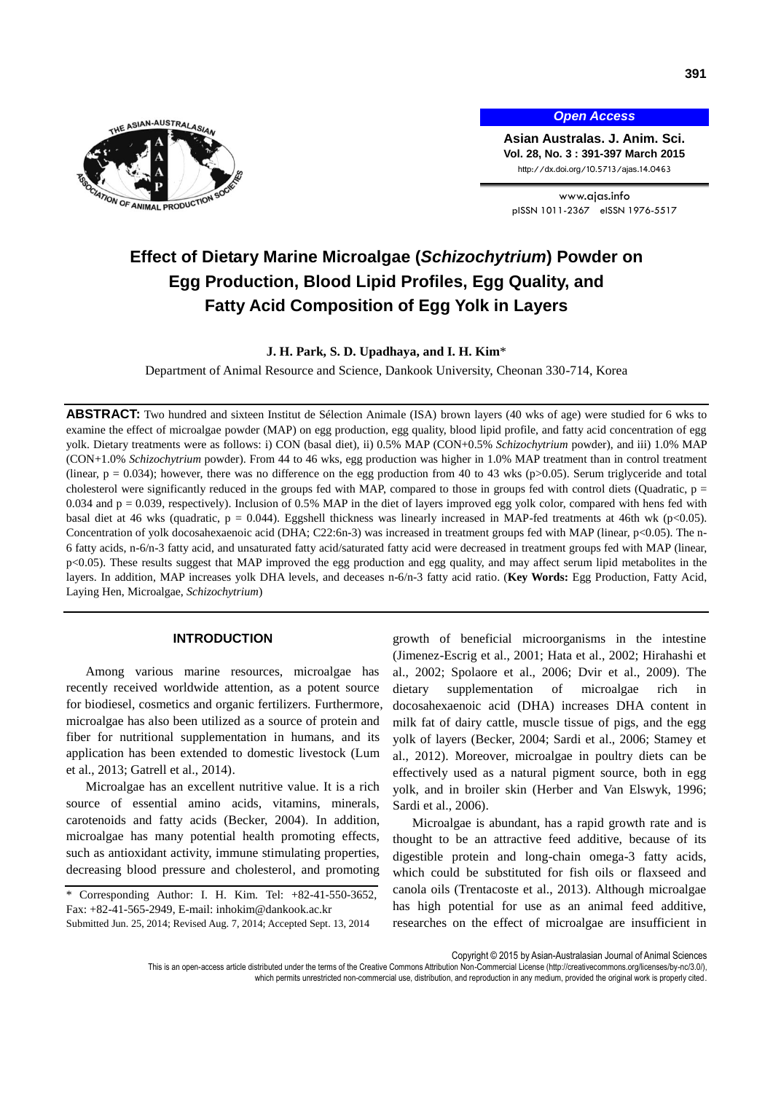

*Open Access*

**Asian Australas. J. Anim. Sci. Vol. 28, No. 3 : 391-397 March 2015** http://dx.doi.org/10.5713/ajas.14.0463

www.ajas.info pISSN 1011-2367 eISSN 1976-5517

# **Effect of Dietary Marine Microalgae (***Schizochytrium***) Powder on Egg Production, Blood Lipid Profiles, Egg Quality, and Fatty Acid Composition of Egg Yolk in Layers**

**J. H. Park, S. D. Upadhaya, and I. H. Kim**\*

Department of Animal Resource and Science, Dankook University, Cheonan 330-714, Korea

**ABSTRACT:** Two hundred and sixteen Institut de Sélection Animale (ISA) brown layers (40 wks of age) were studied for 6 wks to examine the effect of microalgae powder (MAP) on egg production, egg quality, blood lipid profile, and fatty acid concentration of egg yolk. Dietary treatments were as follows: i) CON (basal diet), ii) 0.5% MAP (CON+0.5% *Schizochytrium* powder), and iii) 1.0% MAP (CON+1.0% *Schizochytrium* powder). From 44 to 46 wks, egg production was higher in 1.0% MAP treatment than in control treatment (linear,  $p = 0.034$ ); however, there was no difference on the egg production from 40 to 43 wks (p>0.05). Serum triglyceride and total cholesterol were significantly reduced in the groups fed with MAP, compared to those in groups fed with control diets (Quadratic,  $p =$ 0.034 and p = 0.039, respectively). Inclusion of 0.5% MAP in the diet of layers improved egg yolk color, compared with hens fed with basal diet at 46 wks (quadratic,  $p = 0.044$ ). Eggshell thickness was linearly increased in MAP-fed treatments at 46th wk (p<0.05). Concentration of yolk docosahexaenoic acid (DHA; C22:6n-3) was increased in treatment groups fed with MAP (linear, p<0.05). The n-6 fatty acids, n-6/n-3 fatty acid, and unsaturated fatty acid/saturated fatty acid were decreased in treatment groups fed with MAP (linear, p<0.05). These results suggest that MAP improved the egg production and egg quality, and may affect serum lipid metabolites in the layers. In addition, MAP increases yolk DHA levels, and deceases n-6/n-3 fatty acid ratio. (**Key Words:** Egg Production, Fatty Acid, Laying Hen, Microalgae, *Schizochytrium*)

# **INTRODUCTION**

Among various marine resources, microalgae has recently received worldwide attention, as a potent source for biodiesel, cosmetics and organic fertilizers. Furthermore, microalgae has also been utilized as a source of protein and fiber for nutritional supplementation in humans, and its application has been extended to domestic livestock (Lum et al., 2013; Gatrell et al., 2014).

Microalgae has an excellent nutritive value. It is a rich source of essential amino acids, vitamins, minerals, carotenoids and fatty acids (Becker, 2004). In addition, microalgae has many potential health promoting effects, such as antioxidant activity, immune stimulating properties, decreasing blood pressure and cholesterol, and promoting

growth of beneficial microorganisms in the intestine (Jimenez-Escrig et al., 2001; Hata et al., 2002; Hirahashi et al., 2002; Spolaore et al., 2006; Dvir et al., 2009). The dietary supplementation of microalgae rich in docosahexaenoic acid (DHA) increases DHA content in milk fat of dairy cattle, muscle tissue of pigs, and the egg yolk of layers (Becker, 2004; Sardi et al., 2006; Stamey et al., 2012). Moreover, microalgae in poultry diets can be effectively used as a natural pigment source, both in egg yolk, and in broiler skin (Herber and Van Elswyk, 1996; Sardi et al., 2006).

Microalgae is abundant, has a rapid growth rate and is thought to be an attractive feed additive, because of its digestible protein and long-chain omega-3 fatty acids, which could be substituted for fish oils or flaxseed and canola oils (Trentacoste et al., 2013). Although microalgae has high potential for use as an animal feed additive, researches on the effect of microalgae are insufficient in

Copyright © 2015 by Asian-Australasian Journal of Animal Sciences

<sup>\*</sup> Corresponding Author: I. H. Kim. Tel: +82-41-550-3652, Fax: +82-41-565-2949, E-mail: inhokim@dankook.ac.kr Submitted Jun. 25, 2014; Revised Aug. 7, 2014; Accepted Sept. 13, 2014

This is an open-access article distributed under the terms of the Creative Commons Attribution Non-Commercial License [\(http://creativecommons.org/licenses/by-nc/3.0/\),](http://creativecommons.org/licenses/by-nc/3.0/) which permits unrestricted non-commercial use, distribution, and reproduction in any medium, provided the original work is properly cited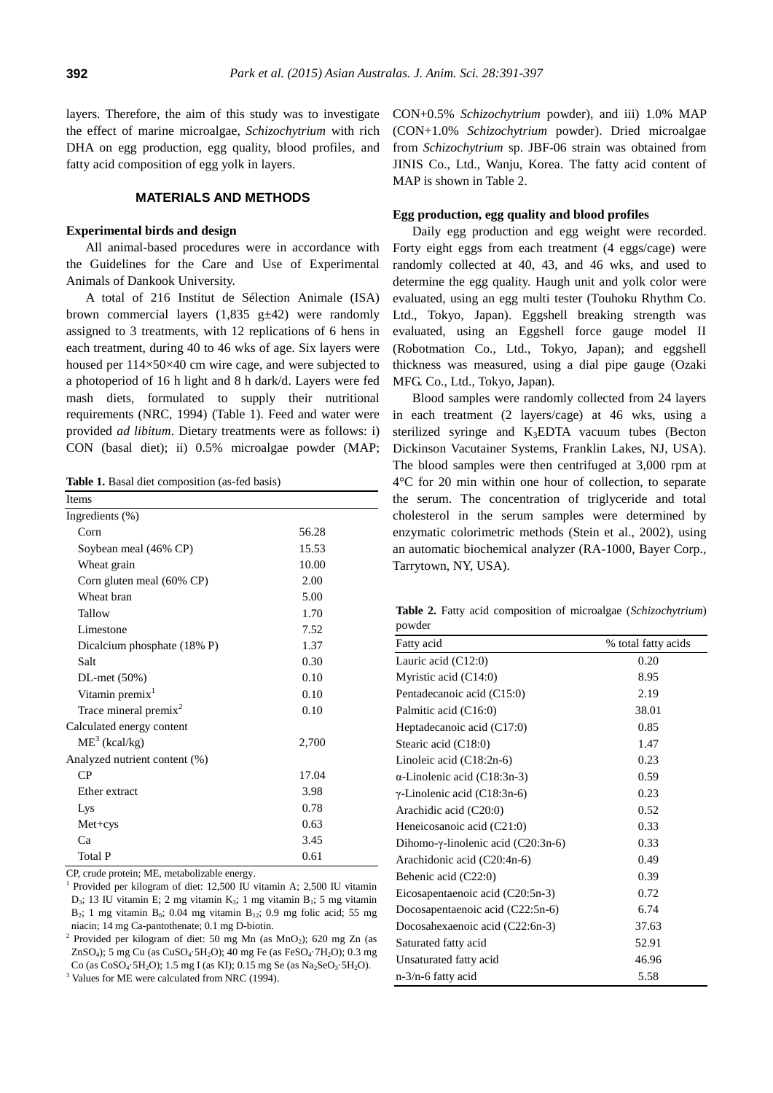layers. Therefore, the aim of this study was to investigate the effect of marine microalgae, *Schizochytrium* with rich DHA on egg production, egg quality, blood profiles, and fatty acid composition of egg yolk in layers.

# **MATERIALS AND METHODS**

# **Experimental birds and design**

All animal-based procedures were in accordance with the Guidelines for the Care and Use of Experimental Animals of Dankook University.

A total of 216 Institut de Sélection Animale (ISA) brown commercial layers  $(1,835 \text{ g} \pm 42)$  were randomly assigned to 3 treatments, with 12 replications of 6 hens in each treatment, during 40 to 46 wks of age. Six layers were housed per 114×50×40 cm wire cage, and were subjected to a photoperiod of 16 h light and 8 h dark/d. Layers were fed mash diets, formulated to supply their nutritional requirements (NRC, 1994) (Table 1). Feed and water were provided *ad libitum*. Dietary treatments were as follows: i) CON (basal diet); ii) 0.5% microalgae powder (MAP;

**Table 1.** Basal diet composition (as-fed basis)

| Items                         |       |  |  |  |  |
|-------------------------------|-------|--|--|--|--|
| Ingredients $(\%)$            |       |  |  |  |  |
| Corn                          | 56.28 |  |  |  |  |
| Soybean meal (46% CP)         | 15.53 |  |  |  |  |
| Wheat grain                   | 10.00 |  |  |  |  |
| Corn gluten meal (60% CP)     | 2.00  |  |  |  |  |
| Wheat bran                    | 5.00  |  |  |  |  |
| Tallow                        | 1.70  |  |  |  |  |
| Limestone                     | 7.52  |  |  |  |  |
| Dicalcium phosphate (18% P)   | 1.37  |  |  |  |  |
| Salt                          | 0.30  |  |  |  |  |
| $DL$ -met $(50%)$             | 0.10  |  |  |  |  |
| Vitamin premix <sup>1</sup>   | 0.10  |  |  |  |  |
| Trace mineral premix $2$      | 0.10  |  |  |  |  |
| Calculated energy content     |       |  |  |  |  |
| $ME3$ (kcal/kg)               | 2,700 |  |  |  |  |
| Analyzed nutrient content (%) |       |  |  |  |  |
| CP                            | 17.04 |  |  |  |  |
| Ether extract                 | 3.98  |  |  |  |  |
| Lys                           | 0.78  |  |  |  |  |
| $Met+cys$                     | 0.63  |  |  |  |  |
| Ca                            | 3.45  |  |  |  |  |
| <b>Total P</b>                | 0.61  |  |  |  |  |

CP, crude protein; ME, metabolizable energy.

1 Provided per kilogram of diet: 12,500 IU vitamin A; 2,500 IU vitamin D<sub>3</sub>; 13 IU vitamin E; 2 mg vitamin K<sub>3</sub>; 1 mg vitamin B<sub>1</sub>; 5 mg vitamin B<sub>2</sub>; 1 mg vitamin B<sub>6</sub>; 0.04 mg vitamin B<sub>12</sub>; 0.9 mg folic acid; 55 mg niacin; 14 mg Ca-pantothenate; 0.1 mg D-biotin.

2 Provided per kilogram of diet: 50 mg Mn (as MnO2); 620 mg Zn (as ZnSO4); 5 mg Cu (as CuSO4·5H2O); 40 mg Fe (as FeSO4·7H2O); 0.3 mg Co (as  $CoSO_4.5H_2O$ ); 1.5 mg I (as KI); 0.15 mg Se (as  $Na_2SeO_3.5H_2O$ ).

<sup>3</sup> Values for ME were calculated from NRC (1994).

CON+0.5% *Schizochytrium* powder), and iii) 1.0% MAP (CON+1.0% *Schizochytrium* powder). Dried microalgae from *Schizochytrium* sp. JBF-06 strain was obtained from JINIS Co., Ltd., Wanju, Korea. The fatty acid content of MAP is shown in Table 2.

### **Egg production, egg quality and blood profiles**

Daily egg production and egg weight were recorded. Forty eight eggs from each treatment (4 eggs/cage) were randomly collected at 40, 43, and 46 wks, and used to determine the egg quality. Haugh unit and yolk color were evaluated, using an egg multi tester (Touhoku Rhythm Co. Ltd., Tokyo, Japan). Eggshell breaking strength was evaluated, using an Eggshell force gauge model II (Robotmation Co., Ltd., Tokyo, Japan); and eggshell thickness was measured, using a dial pipe gauge (Ozaki MFG. Co., Ltd., Tokyo, Japan).

Blood samples were randomly collected from 24 layers in each treatment (2 layers/cage) at 46 wks, using a sterilized syringe and K3EDTA vacuum tubes (Becton Dickinson Vacutainer Systems, Franklin Lakes, NJ, USA). The blood samples were then centrifuged at 3,000 rpm at 4°C for 20 min within one hour of collection, to separate the serum. The concentration of triglyceride and total cholesterol in the serum samples were determined by enzymatic colorimetric methods (Stein et al., 2002), using an automatic biochemical analyzer (RA-1000, Bayer Corp., Tarrytown, NY, USA).

**Table 2.** Fatty acid composition of microalgae (*Schizochytrium*) powder

| powder                                      |                     |
|---------------------------------------------|---------------------|
| Fatty acid                                  | % total fatty acids |
| Lauric acid $(C12:0)$                       | 0.20                |
| Myristic acid $(C14:0)$                     | 8.95                |
| Pentadecanoic acid (C15:0)                  | 2.19                |
| Palmitic acid (C16:0)                       | 38.01               |
| Heptadecanoic acid (C17:0)                  | 0.85                |
| Stearic acid (C18:0)                        | 1.47                |
| Linoleic acid $(C18:2n-6)$                  | 0.23                |
| $\alpha$ -Linolenic acid (C18:3n-3)         | 0.59                |
| $\gamma$ -Linolenic acid (C18:3n-6)         | 0.23                |
| Arachidic acid (C20:0)                      | 0.52                |
| Heneicosanoic acid (C21:0)                  | 0.33                |
| Dihomo- $\gamma$ -linolenic acid (C20:3n-6) | 0.33                |
| Arachidonic acid (C20:4n-6)                 | 0.49                |
| Behenic acid (C22:0)                        | 0.39                |
| Eicosapentaenoic acid (C20:5n-3)            | 0.72                |
| Docosapentaenoic acid (C22:5n-6)            | 6.74                |
| Docosahexaenoic acid (C22:6n-3)             | 37.63               |
| Saturated fatty acid                        | 52.91               |
| Unsaturated fatty acid                      | 46.96               |
| $n-3/n-6$ fatty acid                        | 5.58                |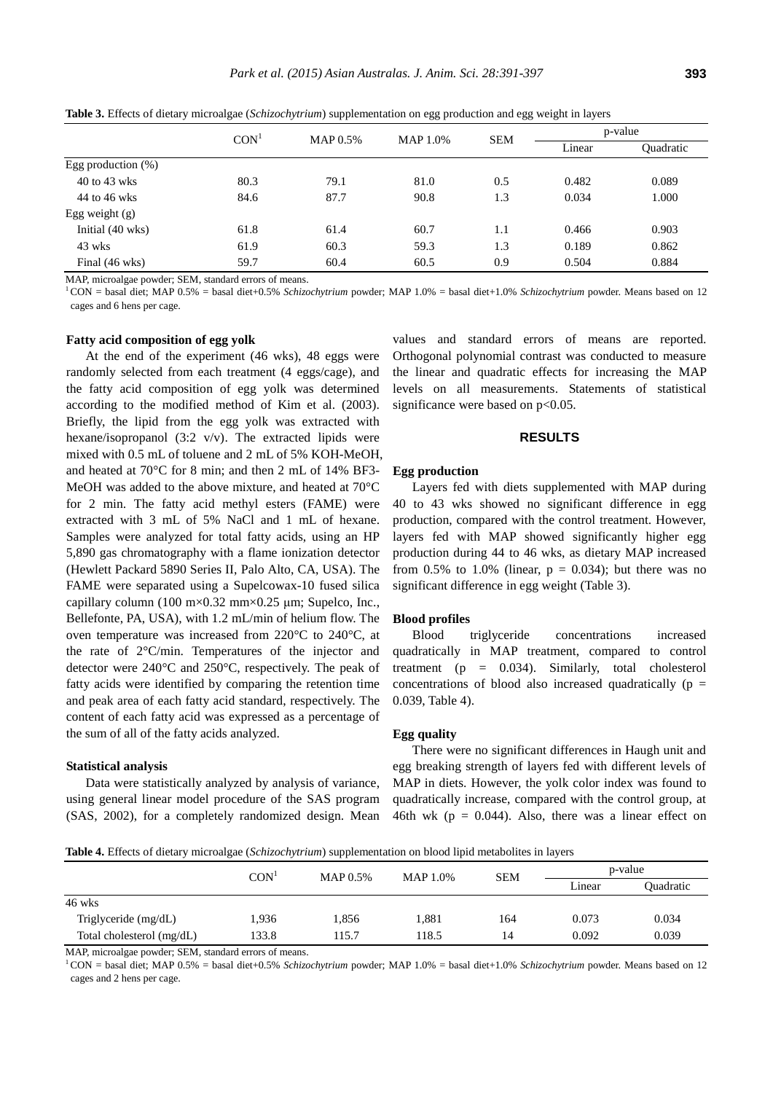|                       | CON <sup>1</sup> | MAP 0.5% | <b>MAP 1.0%</b>      | <b>SEM</b> | p-value |           |
|-----------------------|------------------|----------|----------------------|------------|---------|-----------|
|                       |                  |          |                      |            | Linear  | Ouadratic |
| Egg production $(\%)$ |                  |          |                      |            |         |           |
| 40 to 43 wks          | 80.3             | 79.1     | 0.482<br>0.5<br>81.0 |            | 0.089   |           |
| 44 to 46 wks          | 84.6             | 87.7     | 90.8                 | 1.3        | 0.034   | 1.000     |
| Egg weight (g)        |                  |          |                      |            |         |           |
| Initial (40 wks)      | 61.8             | 61.4     | 60.7                 | 1.1        | 0.466   | 0.903     |
| 43 wks                | 61.9             | 60.3     | 59.3                 | 1.3        | 0.189   | 0.862     |
| Final (46 wks)        | 59.7             | 60.4     | 60.5                 | 0.9        | 0.504   | 0.884     |

**Table 3.** Effects of dietary microalgae (*Schizochytrium*) supplementation on egg production and egg weight in layers

MAP, microalgae powder; SEM, standard errors of means.

<sup>1</sup>CON = basal diet; MAP 0.5% = basal diet+0.5% *Schizochytrium* powder; MAP 1.0% = basal diet+1.0% *Schizochytrium* powder. Means based on 12 cages and 6 hens per cage.

#### **Fatty acid composition of egg yolk**

At the end of the experiment (46 wks), 48 eggs were randomly selected from each treatment (4 eggs/cage), and the fatty acid composition of egg yolk was determined according to the modified method of Kim et al. (2003). Briefly, the lipid from the egg yolk was extracted with hexane/isopropanol (3:2 v/v). The extracted lipids were mixed with 0.5 mL of toluene and 2 mL of 5% KOH-MeOH, and heated at 70°C for 8 min; and then 2 mL of 14% BF3- MeOH was added to the above mixture, and heated at 70°C for 2 min. The fatty acid methyl esters (FAME) were extracted with 3 mL of 5% NaCl and 1 mL of hexane. Samples were analyzed for total fatty acids, using an HP 5,890 gas chromatography with a flame ionization detector (Hewlett Packard 5890 Series II, Palo Alto, CA, USA). The FAME were separated using a Supelcowax-10 fused silica capillary column (100 m×0.32 mm×0.25 μm; Supelco, Inc., Bellefonte, PA, USA), with 1.2 mL/min of helium flow. The oven temperature was increased from 220°C to 240°C, at the rate of 2°C/min. Temperatures of the injector and detector were 240°C and 250°C, respectively. The peak of fatty acids were identified by comparing the retention time and peak area of each fatty acid standard, respectively. The content of each fatty acid was expressed as a percentage of the sum of all of the fatty acids analyzed.

#### **Statistical analysis**

Data were statistically analyzed by analysis of variance, using general linear model procedure of the SAS program (SAS, 2002), for a completely randomized design. Mean

values and standard errors of means are reported. Orthogonal polynomial contrast was conducted to measure the linear and quadratic effects for increasing the MAP levels on all measurements. Statements of statistical significance were based on  $p<0.05$ .

## **RESULTS**

#### **Egg production**

Layers fed with diets supplemented with MAP during 40 to 43 wks showed no significant difference in egg production, compared with the control treatment. However, layers fed with MAP showed significantly higher egg production during 44 to 46 wks, as dietary MAP increased from 0.5% to 1.0% (linear,  $p = 0.034$ ); but there was no significant difference in egg weight (Table 3).

#### **Blood profiles**

Blood triglyceride concentrations increased quadratically in MAP treatment, compared to control treatment ( $p = 0.034$ ). Similarly, total cholesterol concentrations of blood also increased quadratically  $(p =$ 0.039, Table 4).

## **Egg quality**

There were no significant differences in Haugh unit and egg breaking strength of layers fed with different levels of MAP in diets. However, the yolk color index was found to quadratically increase, compared with the control group, at 46th wk ( $p = 0.044$ ). Also, there was a linear effect on

**Table 4.** Effects of dietary microalgae (*Schizochytrium*) supplementation on blood lipid metabolites in layers

|                           |                  | .        |                        |     |        |           |
|---------------------------|------------------|----------|------------------------|-----|--------|-----------|
|                           | CON <sup>1</sup> | MAP 0.5% | <b>SEM</b><br>MAP 1.0% |     |        | p-value   |
|                           |                  |          |                        |     | Linear | Ouadratic |
| 46 wks                    |                  |          |                        |     |        |           |
| Triglyceride (mg/dL)      | 1,936            | 1.856    | 1,881                  | 164 | 0.073  | 0.034     |
| Total cholesterol (mg/dL) | 133.8            | 15.7     | 118.5                  | 14  | 0.092  | 0.039     |
|                           |                  |          |                        |     |        |           |

MAP, microalgae powder; SEM, standard errors of means.

<sup>1</sup>CON = basal diet; MAP 0.5% = basal diet+0.5% *Schizochytrium* powder; MAP 1.0% = basal diet+1.0% *Schizochytrium* powder. Means based on 12 cages and 2 hens per cage.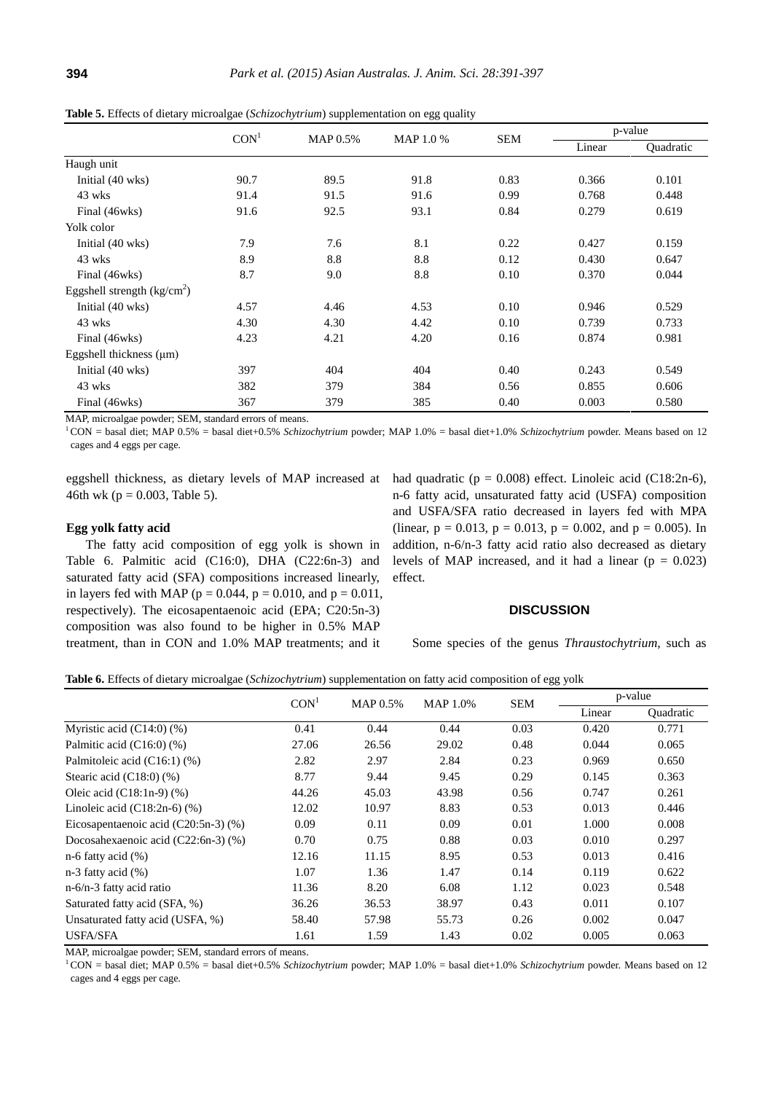|                                     | CON <sup>1</sup> | <b>MAP 0.5%</b> | MAP 1.0 %    | <b>SEM</b> | p-value |                  |
|-------------------------------------|------------------|-----------------|--------------|------------|---------|------------------|
|                                     |                  |                 |              |            | Linear  | <b>Quadratic</b> |
| Haugh unit                          |                  |                 |              |            |         |                  |
| Initial (40 wks)                    | 90.7             | 89.5            | 91.8         | 0.83       | 0.366   | 0.101            |
| 43 wks                              | 91.4             | 91.5            | 91.6         | 0.99       | 0.768   | 0.448            |
| Final (46wks)                       | 91.6             | 92.5            | 93.1<br>0.84 |            | 0.279   | 0.619            |
| Yolk color                          |                  |                 |              |            |         |                  |
| Initial (40 wks)                    | 7.9              | 7.6             | 8.1          | 0.22       | 0.427   | 0.159            |
| 43 wks                              | 8.9              | 8.8             | 8.8          | 0.12       | 0.430   | 0.647            |
| Final (46wks)                       | 8.7              | 9.0             | 8.8          | 0.10       | 0.370   | 0.044            |
| Eggshell strength $\frac{kg}{cm^2}$ |                  |                 |              |            |         |                  |
| Initial (40 wks)                    | 4.57             | 4.46            | 4.53         | 0.10       | 0.946   | 0.529            |
| 43 wks                              | 4.30             | 4.30            | 4.42         | 0.10       | 0.739   | 0.733            |
| Final (46wks)                       | 4.23             | 4.21            | 4.20         | 0.16       | 0.874   | 0.981            |
| Eggshell thickness $(\mu m)$        |                  |                 |              |            |         |                  |
| Initial (40 wks)                    | 397              | 404             | 404          | 0.40       | 0.243   | 0.549            |
| 43 wks                              | 382              | 379             | 384          | 0.56       | 0.855   | 0.606            |
| Final (46wks)                       | 367              | 379             | 385          | 0.40       | 0.003   | 0.580            |

**Table 5.** Effects of dietary microalgae (*Schizochytrium*) supplementation on egg quality

MAP, microalgae powder; SEM, standard errors of means.

<sup>1</sup>CON = basal diet; MAP 0.5% = basal diet+0.5% *Schizochytrium* powder; MAP 1.0% = basal diet+1.0% *Schizochytrium* powder. Means based on 12 cages and 4 eggs per cage.

eggshell thickness, as dietary levels of MAP increased at 46th wk ( $p = 0.003$ , Table 5).

#### **Egg yolk fatty acid**

The fatty acid composition of egg yolk is shown in Table 6. Palmitic acid (C16:0), DHA (C22:6n-3) and saturated fatty acid (SFA) compositions increased linearly, in layers fed with MAP ( $p = 0.044$ ,  $p = 0.010$ , and  $p = 0.011$ , respectively). The eicosapentaenoic acid (EPA; C20:5n-3) composition was also found to be higher in 0.5% MAP treatment, than in CON and 1.0% MAP treatments; and it

had quadratic ( $p = 0.008$ ) effect. Linoleic acid (C18:2n-6), n-6 fatty acid, unsaturated fatty acid (USFA) composition and USFA/SFA ratio decreased in layers fed with MPA (linear,  $p = 0.013$ ,  $p = 0.013$ ,  $p = 0.002$ , and  $p = 0.005$ ). In addition, n-6/n-3 fatty acid ratio also decreased as dietary levels of MAP increased, and it had a linear ( $p = 0.023$ ) effect.

## **DISCUSSION**

Some species of the genus *Thraustochytrium*, such as

**Table 6.** Effects of dietary microalgae (*Schizochytrium*) supplementation on fatty acid composition of egg yolk

|                                           | CON <sup>1</sup> | <b>MAP 0.5%</b> | <b>MAP 1.0%</b> | <b>SEM</b> | p-value |                  |
|-------------------------------------------|------------------|-----------------|-----------------|------------|---------|------------------|
|                                           |                  |                 |                 |            | Linear  | <b>Ouadratic</b> |
| Myristic acid $(C14:0)$ $(\%)$            | 0.41             | 0.44            | 0.44            | 0.03       | 0.420   | 0.771            |
| Palmitic acid $(C16:0)$ $(\%)$            | 27.06            | 26.56           | 29.02           | 0.48       | 0.044   | 0.065            |
| Palmitoleic acid (C16:1) (%)              | 2.82             | 2.97            | 2.84            | 0.23       | 0.969   | 0.650            |
| Stearic acid $(C18:0)$ $(\%)$             | 8.77             | 9.44            | 9.45            | 0.29       | 0.145   | 0.363            |
| Oleic acid $(C18:1n-9)$ $(\%)$            | 44.26            | 45.03           | 43.98           | 0.56       | 0.747   | 0.261            |
| Linoleic acid $(C18:2n-6)$ $(\%)$         | 12.02            | 10.97           | 8.83            | 0.53       | 0.013   | 0.446            |
| Eicosapentaenoic acid $(C20:5n-3)$ $(\%)$ | 0.09             | 0.11            | 0.09            | 0.01       | 1.000   | 0.008            |
| Docosahexaenoic acid $(C22:6n-3)$ $(\%)$  | 0.70             | 0.75            | 0.88            | 0.03       | 0.010   | 0.297            |
| $n-6$ fatty acid $(\%)$                   | 12.16            | 11.15           | 8.95            | 0.53       | 0.013   | 0.416            |
| $n-3$ fatty acid $(\%)$                   | 1.07             | 1.36            | 1.47            | 0.14       | 0.119   | 0.622            |
| $n-6/n-3$ fatty acid ratio                | 11.36            | 8.20            | 6.08            | 1.12       | 0.023   | 0.548            |
| Saturated fatty acid (SFA, %)             | 36.26            | 36.53           | 38.97           | 0.43       | 0.011   | 0.107            |
| Unsaturated fatty acid (USFA, %)          | 58.40            | 57.98           | 55.73           | 0.26       | 0.002   | 0.047            |
| <b>USFA/SFA</b>                           | 1.61             | 1.59            | 1.43            | 0.02       | 0.005   | 0.063            |

MAP, microalgae powder; SEM, standard errors of means.

<sup>1</sup>CON = basal diet; MAP 0.5% = basal diet+0.5% *Schizochytrium* powder; MAP 1.0% = basal diet+1.0% *Schizochytrium* powder. Means based on 12 cages and 4 eggs per cage.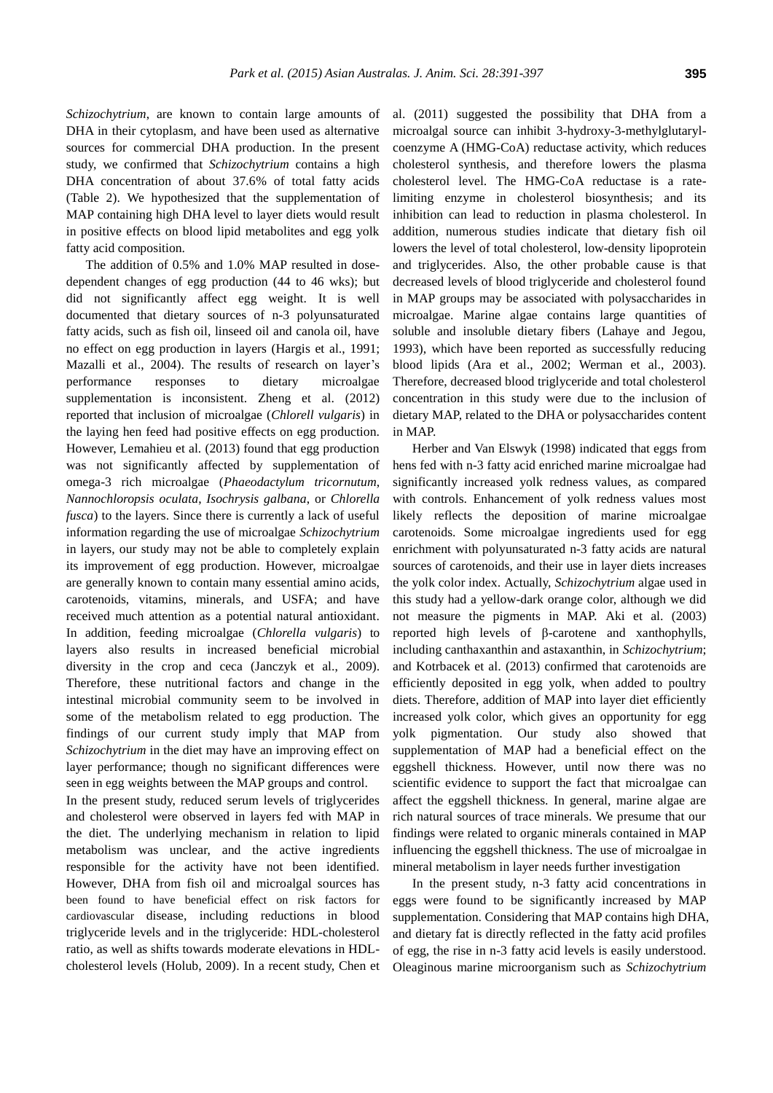*Schizochytrium*, are known to contain large amounts of DHA in their cytoplasm, and have been used as alternative sources for commercial DHA production. In the present study, we confirmed that *Schizochytrium* contains a high DHA concentration of about 37.6% of total fatty acids (Table 2). We hypothesized that the supplementation of MAP containing high DHA level to layer diets would result in positive effects on blood lipid metabolites and egg yolk fatty acid composition.

The addition of 0.5% and 1.0% MAP resulted in dosedependent changes of egg production (44 to 46 wks); but did not significantly affect egg weight. It is well documented that dietary sources of n-3 polyunsaturated fatty acids, such as fish oil, linseed oil and canola oil, have no effect on egg production in layers (Hargis et al., 1991; Mazalli et al., 2004). The results of research on layer's performance responses to dietary microalgae supplementation is inconsistent. Zheng et al. (2012) reported that inclusion of microalgae (*Chlorell vulgaris*) in the laying hen feed had positive effects on egg production. However, Lemahieu et al. (2013) found that egg production was not significantly affected by supplementation of omega-3 rich microalgae (*Phaeodactylum tricornutum*, *Nannochloropsis oculata*, *Isochrysis galbana*, or *Chlorella fusca*) to the layers. Since there is currently a lack of useful information regarding the use of microalgae *Schizochytrium* in layers, our study may not be able to completely explain its improvement of egg production. However, microalgae are generally known to contain many essential amino acids, carotenoids, vitamins, minerals, and USFA; and have received much attention as a potential natural antioxidant. In addition, feeding microalgae (*Chlorella vulgaris*) to layers also results in increased beneficial microbial diversity in the crop and ceca (Janczyk et al., 2009). Therefore, these nutritional factors and change in the intestinal microbial community seem to be involved in some of the metabolism related to egg production. The findings of our current study imply that MAP from *Schizochytrium* in the diet may have an improving effect on layer performance; though no significant differences were seen in egg weights between the MAP groups and control.

In the present study, reduced serum levels of triglycerides and cholesterol were observed in layers fed with MAP in the diet. The underlying mechanism in relation to lipid metabolism was unclear, and the active ingredients responsible for the activity have not been identified. However, DHA from fish oil and microalgal sources has been found to have beneficial effect on risk factors for cardiovascular disease, including reductions in blood triglyceride levels and in the triglyceride: HDL-cholesterol ratio, as well as shifts towards moderate elevations in HDLcholesterol levels (Holub, 2009). In a recent study, Chen et al. (2011) suggested the possibility that DHA from a microalgal source can inhibit 3-hydroxy-3-methylglutarylcoenzyme A (HMG-CoA) reductase activity, which reduces cholesterol synthesis, and therefore lowers the plasma cholesterol level. The HMG-CoA reductase is a ratelimiting enzyme in cholesterol biosynthesis; and its inhibition can lead to reduction in plasma cholesterol. In addition, numerous studies indicate that dietary fish oil lowers the level of total cholesterol, low-density lipoprotein and triglycerides. Also, the other probable cause is that decreased levels of blood triglyceride and cholesterol found in MAP groups may be associated with polysaccharides in microalgae. Marine algae contains large quantities of soluble and insoluble dietary fibers (Lahaye and Jegou, 1993), which have been reported as successfully reducing blood lipids (Ara et al., 2002; Werman et al., 2003). Therefore, decreased blood triglyceride and total cholesterol concentration in this study were due to the inclusion of dietary MAP, related to the DHA or polysaccharides content in MAP.

Herber and Van Elswyk (1998) indicated that eggs from hens fed with n-3 fatty acid enriched marine microalgae had significantly increased yolk redness values, as compared with controls. Enhancement of yolk redness values most likely reflects the deposition of marine microalgae carotenoids. Some microalgae ingredients used for egg enrichment with polyunsaturated n-3 fatty acids are natural sources of carotenoids, and their use in layer diets increases the yolk color index. Actually, *Schizochytrium* algae used in this study had a yellow-dark orange color, although we did not measure the pigments in MAP. Aki et al. (2003) reported high levels of β-carotene and xanthophylls, including canthaxanthin and astaxanthin, in *Schizochytrium*; and Kotrbacek et al. (2013) confirmed that carotenoids are efficiently deposited in egg yolk, when added to poultry diets. Therefore, addition of MAP into layer diet efficiently increased yolk color, which gives an opportunity for egg yolk pigmentation. Our study also showed that supplementation of MAP had a beneficial effect on the eggshell thickness. However, until now there was no scientific evidence to support the fact that microalgae can affect the eggshell thickness. In general, marine algae are rich natural sources of trace minerals. We presume that our findings were related to organic minerals contained in MAP influencing the eggshell thickness. The use of microalgae in mineral metabolism in layer needs further investigation

In the present study, n-3 fatty acid concentrations in eggs were found to be significantly increased by MAP supplementation. Considering that MAP contains high DHA, and dietary fat is directly reflected in the fatty acid profiles of egg, the rise in n-3 fatty acid levels is easily understood. Oleaginous marine microorganism such as *Schizochytrium*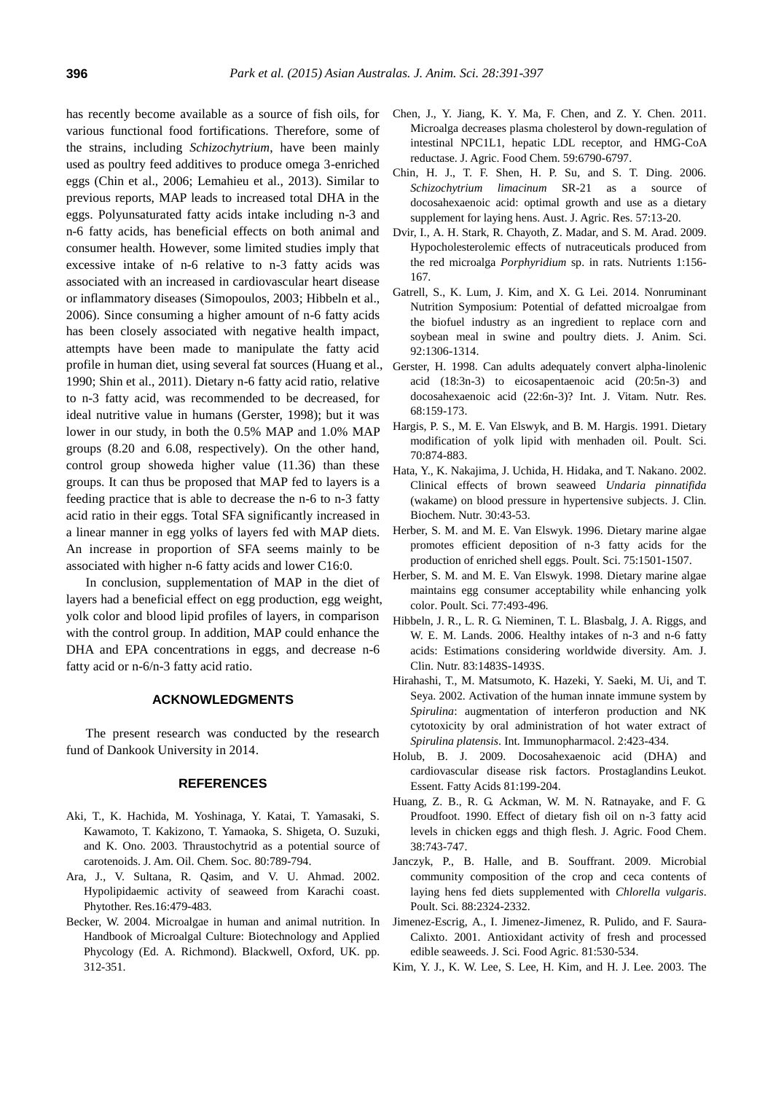has recently become available as a source of fish oils, for various functional food fortifications. Therefore, some of the strains, including *Schizochytrium*, have been mainly used as poultry feed additives to produce omega 3-enriched eggs (Chin et al., 2006; Lemahieu et al., 2013). Similar to previous reports, MAP leads to increased total DHA in the eggs. Polyunsaturated fatty acids intake including n-3 and n-6 fatty acids, has beneficial effects on both animal and consumer health. However, some limited studies imply that excessive intake of n-6 relative to n-3 fatty acids was associated with an increased in cardiovascular heart disease or inflammatory diseases (Simopoulos, 2003; Hibbeln et al., 2006). Since consuming a higher amount of n-6 fatty acids has been closely associated with negative health impact, attempts have been made to manipulate the fatty acid profile in human diet, using several fat sources (Huang et al., 1990; Shin et al., 2011). Dietary n-6 fatty acid ratio, relative to n-3 fatty acid, was recommended to be decreased, for ideal nutritive value in humans (Gerster, 1998); but it was lower in our study, in both the 0.5% MAP and 1.0% MAP groups (8.20 and 6.08, respectively). On the other hand, control group showeda higher value (11.36) than these groups. It can thus be proposed that MAP fed to layers is a feeding practice that is able to decrease the n-6 to n-3 fatty acid ratio in their eggs. Total SFA significantly increased in a linear manner in egg yolks of layers fed with MAP diets. An increase in proportion of SFA seems mainly to be associated with higher n-6 fatty acids and lower C16:0.

In conclusion, supplementation of MAP in the diet of layers had a beneficial effect on egg production, egg weight, yolk color and blood lipid profiles of layers, in comparison with the control group. In addition, MAP could enhance the DHA and EPA concentrations in eggs, and decrease n-6 fatty acid or n-6/n-3 fatty acid ratio.

## **ACKNOWLEDGMENTS**

The present research was conducted by the research fund of Dankook University in 2014.

#### **REFERENCES**

- Aki, T., K. Hachida, M. Yoshinaga, Y. Katai, T. Yamasaki, S. Kawamoto, T. Kakizono, T. Yamaoka, S. Shigeta, O. Suzuki, and K. Ono. 2003. [Thraustochytrid as a potential source of](http://link.springer.com/article/10.1007/s11746-003-0773-2)  [carotenoids.](http://link.springer.com/article/10.1007/s11746-003-0773-2) J. Am. Oil. Chem. Soc. 80:789-794.
- Ara, J., V. Sultana, R. Qasim, and V. U. Ahmad. 2002. [Hypolipidaemic activity of seaweed from Karachi coast.](http://onlinelibrary.wiley.com/doi/10.1002/ptr.909/abstract)  Phytother. Res.16:479-483.
- Becker, W. 2004. Microalgae in human and animal nutrition. In Handbook of Microalgal Culture: Biotechnology and Applied Phycology (Ed. A. Richmond). Blackwell, Oxford, UK. pp. 312-351.
- Chen, J., Y. Jiang, K. Y. Ma, F. Chen, and Z. Y. Chen. 2011. [Microalga decreases plasma cholesterol by down-regulation of](http://pubs.acs.org/doi/abs/10.1021/jf200757h)  [intestinal NPC1L1, hepatic LDL receptor, and HMG-CoA](http://pubs.acs.org/doi/abs/10.1021/jf200757h)  [reductase.](http://pubs.acs.org/doi/abs/10.1021/jf200757h) J. Agric. Food Chem. 59:6790-6797.
- Chin, H. J., T. F. Shen, H. P. Su, and S. T. Ding. 2006. *Schizochytrium limacinum* [SR-21 as a source of](http://www.publish.csiro.au/paper/AR05099)  [docosahexaenoic acid: optimal growth and use as a dietary](http://www.publish.csiro.au/paper/AR05099)  [supplement for laying hens.](http://www.publish.csiro.au/paper/AR05099) Aust. J. Agric. Res. 57:13-20.
- Dvir, I., A. H. Stark, R. Chayoth, Z. Madar, and S. M. Arad. 2009. [Hypocholesterolemic effects of nutraceuticals produced from](http://www.mdpi.com/2072-6643/1/2/156)  [the red microalga](http://www.mdpi.com/2072-6643/1/2/156) *Porphyridium* sp. in rats. Nutrients 1:156- 167.
- Gatrell, S., K. Lum, J. Kim, and X. G. Lei. 2014. [Nonruminant](http://www.journalofanimalscience.org/content/92/4/1306.short)  [Nutrition Symposium: Potential of defatted microalgae from](http://www.journalofanimalscience.org/content/92/4/1306.short)  [the biofuel industry as an ingredient to replace corn and](http://www.journalofanimalscience.org/content/92/4/1306.short)  [soybean meal in swine and poultry diets.](http://www.journalofanimalscience.org/content/92/4/1306.short) J. Anim. Sci. 92:1306-1314.
- Gerster, H. 1998. [Can adults adequately convert alpha-linolenic](http://www.ncbi.nlm.nih.gov/pubmed/9637947)  [acid \(18:3n-3\) to eicosapentaenoic acid \(20:5n-3\) and](http://www.ncbi.nlm.nih.gov/pubmed/9637947)  [docosahexaenoic acid \(22:6n-3\)?](http://www.ncbi.nlm.nih.gov/pubmed/9637947) Int. J. Vitam. Nutr. Res. 68:159-173.
- Hargis, P. S., M. E. Van Elswyk, and B. M. Hargis. 1991. [Dietary](http://ps.oxfordjournals.org/content/70/4/874.short)  [modification of yolk lipid with menhaden oil.](http://ps.oxfordjournals.org/content/70/4/874.short) Poult. Sci. 70:874-883.
- Hata, Y., K. Nakajima, J. Uchida, H. Hidaka, and T. Nakano. 2002. [Clinical effects of brown seaweed](https://www.jstage.jst.go.jp/article/jcbn1986/30/0/30_0_43/_article) *Undaria pinnatifida*  [\(wakame\) on blood pressure in hypertensive subjects.](https://www.jstage.jst.go.jp/article/jcbn1986/30/0/30_0_43/_article) J. Clin. Biochem. Nutr. 30:43-53.
- Herber, S. M. and M. E. Van Elswyk. 1996. [Dietary marine algae](http://ps.oxfordjournals.org/content/75/12/1501.short)  promotes efficient [deposition of n-3 fatty acids for the](http://ps.oxfordjournals.org/content/75/12/1501.short)  [production of enriched shell eggs.](http://ps.oxfordjournals.org/content/75/12/1501.short) Poult. Sci. 75:1501-1507.
- Herber, S. M. and M. E. Van Elswyk. 1998. [Dietary marine algae](http://ps.oxfordjournals.org/content/77/3/493.short)  maintains egg [consumer acceptability while enhancing yolk](http://ps.oxfordjournals.org/content/77/3/493.short)  [color.](http://ps.oxfordjournals.org/content/77/3/493.short) Poult. Sci. 77:493-496.
- Hibbeln, J. R., L. R. G. Nieminen, T. L. Blasbalg, J. A. Riggs, and W. E. M. Lands. 2006. Healthy intakes [of n-3 and n-6 fatty](http://ajcn.nutrition.org/content/83/6/S1483.short)  [acids: Estimations considering worldwide diversity.](http://ajcn.nutrition.org/content/83/6/S1483.short) Am. J. Clin. Nutr. 83:1483S-1493S.
- Hirahashi, T., M. Matsumoto, K. Hazeki, Y. Saeki, M. Ui, and T. Seya. 2002. [Activation of the human innate immune system by](http://www.sciencedirect.com/science/article/pii/S1567576901001667)  *Spirulina*: [augmentation of interferon production and NK](http://www.sciencedirect.com/science/article/pii/S1567576901001667)  cytotoxicity by [oral administration of hot water extract of](http://www.sciencedirect.com/science/article/pii/S1567576901001667)  *[Spirulina platensis](http://www.sciencedirect.com/science/article/pii/S1567576901001667)*. Int. Immunopharmacol. 2:423-434.
- Holub, B. J. 2009. [Docosahexaenoic acid \(DHA\) and](http://www.sciencedirect.com/science/article/pii/S095232780900091X)  [cardiovascular disease risk factors.](http://www.sciencedirect.com/science/article/pii/S095232780900091X) Prostaglandins Leukot. Essent. Fatty Acids 81:199-204.
- Huang, Z. B., R. G. Ackman, W. M. N. Ratnayake, and F. G. Proudfoot. 1990. Effect of dietary fish oil on n-3 fatty acid levels in chicken eggs and thigh flesh. J. Agric. Food Chem. 38:743-747.
- Janczyk, P., B. Halle, and B. Souffrant. 2009. [Microbial](http://ps.oxfordjournals.org/content/88/11/2324.short)  [community composition of the crop and ceca contents of](http://ps.oxfordjournals.org/content/88/11/2324.short)  [laying hens fed diets supplemented with](http://ps.oxfordjournals.org/content/88/11/2324.short) *Chlorella vulgaris*. Poult. Sci. 88:2324-2332.
- Jimenez-Escrig, A., I. Jimenez-Jimenez, R. Pulido, and F. Saura-Calixto. 2001. [Antioxidant activity of fresh and processed](http://onlinelibrary.wiley.com/doi/10.1002/jsfa.842/abstract?deniedAccessCustomisedMessage=&userIsAuthenticated=false)  [edible seaweeds.](http://onlinelibrary.wiley.com/doi/10.1002/jsfa.842/abstract?deniedAccessCustomisedMessage=&userIsAuthenticated=false) J. Sci. Food Agric. 81:530-534.
- Kim, Y. J., K. W. Lee, S. Lee, H. Kim, and H. J. Lee. 2003. [The](http://onlinelibrary.wiley.com/doi/10.1111/j.1365-2621.2003.tb06999.x/abstract)